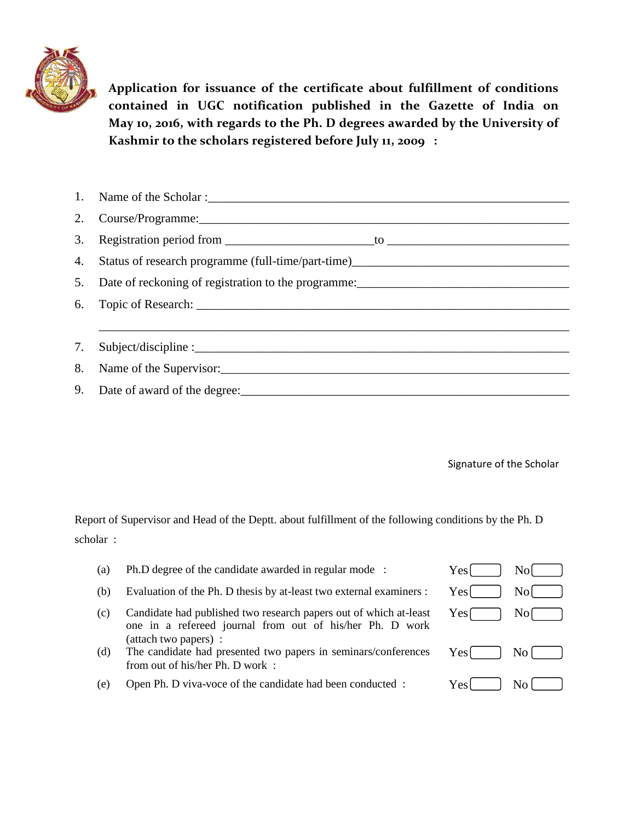

**Application for issuance of the certificate about fulfillment of conditions contained in UGC notification published in the Gazette of India on May 10, 2016, with regards to the Ph. D degrees awarded by the University of Kashmir to the scholars registered before July 11, 2009 :**

| 2. Course/Programme: 2008. 2009. 2010. 2010. 2010. 2010. 2010. 2010. 2010. 2010. 2010. 2010. 2010. 2010. 2010 |
|---------------------------------------------------------------------------------------------------------------|
|                                                                                                               |
| 4. Status of research programme (full-time/part-time)____________________________                             |
|                                                                                                               |
|                                                                                                               |
|                                                                                                               |
|                                                                                                               |
| 8. Name of the Supervisor:                                                                                    |
|                                                                                                               |

Signature of the Scholar

Report of Supervisor and Head of the Deptt. about fulfillment of the following conditions by the Ph. D scholar :

| (a) | Ph.D degree of the candidate awarded in regular mode :                                                                                                 | Yes  | Nol            |
|-----|--------------------------------------------------------------------------------------------------------------------------------------------------------|------|----------------|
| (b) | Evaluation of the Ph. D thesis by at-least two external examiners :                                                                                    | Yes  | Nol            |
| (c) | Candidate had published two research papers out of which at-least<br>one in a refereed journal from out of his/her Ph. D work<br>(attach two papers) : | Yesſ | N <sub>o</sub> |
| (d) | The candidate had presented two papers in seminars/conferences<br>from out of his/her Ph. D work:                                                      | Yes  | No             |
| e)  | Open Ph. D viva-voce of the candidate had been conducted :                                                                                             | Yesl | No.            |